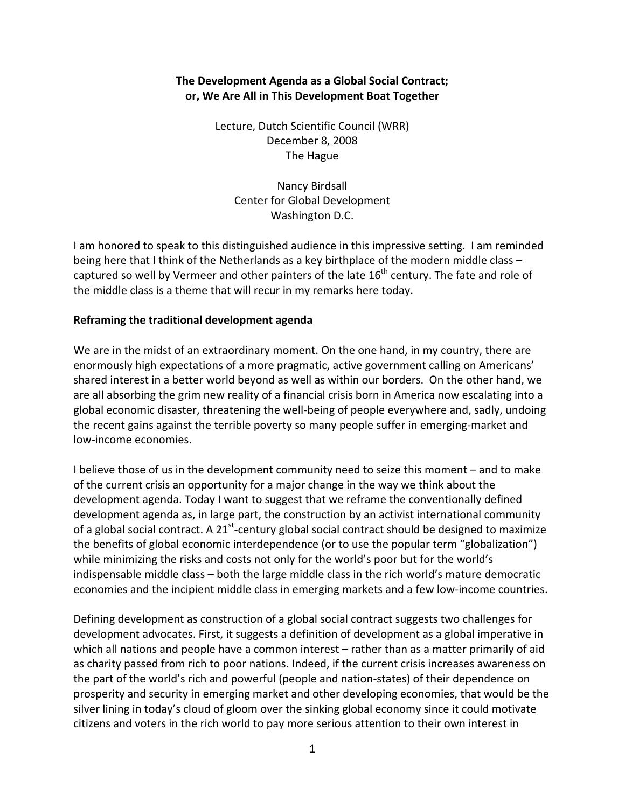# **The Development Agenda as a Global Social Contract; or, We Are All in This Development Boat Together**

Lecture, Dutch Scientific Council (WRR) December 8, 2008 The Hague

Nancy Birdsall Center for Global Development Washington D.C.

I am honored to speak to this distinguished audience in this impressive setting. I am reminded being here that I think of the Netherlands as a key birthplace of the modern middle class – captured so well by Vermeer and other painters of the late  $16<sup>th</sup>$  century. The fate and role of the middle class is a theme that will recur in my remarks here today.

## **Reframing the traditional development agenda**

We are in the midst of an extraordinary moment. On the one hand, in my country, there are enormously high expectations of a more pragmatic, active government calling on Americans' shared interest in a better world beyond as well as within our borders. On the other hand, we are all absorbing the grim new reality of a financial crisis born in America now escalating into a global economic disaster, threatening the well‐being of people everywhere and, sadly, undoing the recent gains against the terrible poverty so many people suffer in emerging-market and low‐income economies.

I believe those of us in the development community need to seize this moment – and to make of the current crisis an opportunity for a major change in the way we think about the development agenda. Today I want to suggest that we reframe the conventionally defined development agenda as, in large part, the construction by an activist international community of a global social contract. A 21<sup>st</sup>-century global social contract should be designed to maximize the benefits of global economic interdependence (or to use the popular term "globalization") while minimizing the risks and costs not only for the world's poor but for the world's indispensable middle class – both the large middle class in the rich world's mature democratic economies and the incipient middle class in emerging markets and a few low-income countries.

Defining development as construction of a global social contract suggests two challenges for development advocates. First, it suggests a definition of development as a global imperative in which all nations and people have a common interest – rather than as a matter primarily of aid as charity passed from rich to poor nations. Indeed, if the current crisis increases awareness on the part of the world's rich and powerful (people and nation‐states) of their dependence on prosperity and security in emerging market and other developing economies, that would be the silver lining in today's cloud of gloom over the sinking global economy since it could motivate citizens and voters in the rich world to pay more serious attention to their own interest in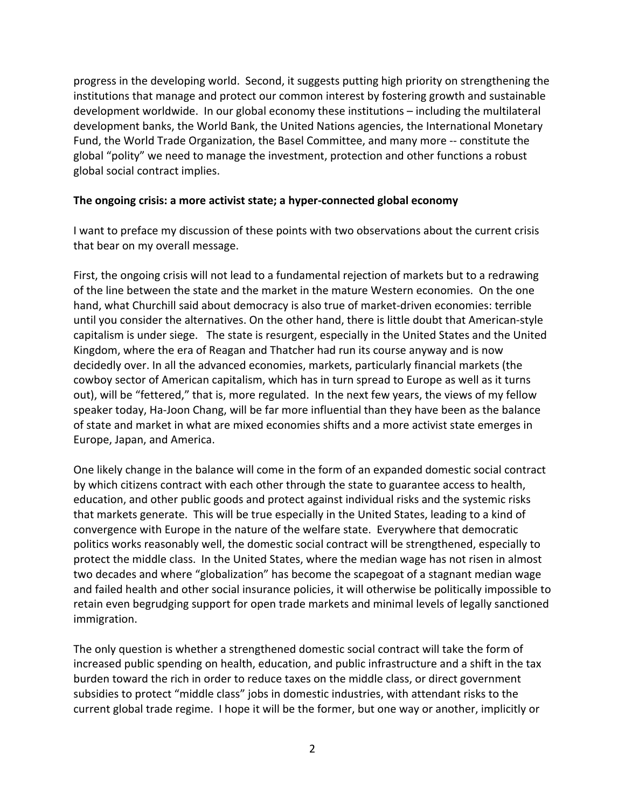progress in the developing world. Second, it suggests putting high priority on strengthening the institutions that manage and protect our common interest by fostering growth and sustainable development worldwide. In our global economy these institutions – including the multilateral development banks, the World Bank, the United Nations agencies, the International Monetary Fund, the World Trade Organization, the Basel Committee, and many more ‐‐ constitute the global "polity" we need to manage the investment, protection and other functions a robust global social contract implies.

### **The ongoing crisis: a more activist state; a hyper‐connected global economy**

I want to preface my discussion of these points with two observations about the current crisis that bear on my overall message.

First, the ongoing crisis will not lead to a fundamental rejection of markets but to a redrawing of the line between the state and the market in the mature Western economies. On the one hand, what Churchill said about democracy is also true of market-driven economies: terrible until you consider the alternatives. On the other hand, there is little doubt that American‐style capitalism is under siege. The state is resurgent, especially in the United States and the United Kingdom, where the era of Reagan and Thatcher had run its course anyway and is now decidedly over. In all the advanced economies, markets, particularly financial markets (the cowboy sector of American capitalism, which has in turn spread to Europe as well as it turns out), will be "fettered," that is, more regulated. In the next few years, the views of my fellow speaker today, Ha‐Joon Chang, will be far more influential than they have been as the balance of state and market in what are mixed economies shifts and a more activist state emerges in Europe, Japan, and America.

One likely change in the balance will come in the form of an expanded domestic social contract by which citizens contract with each other through the state to guarantee access to health, education, and other public goods and protect against individual risks and the systemic risks that markets generate. This will be true especially in the United States, leading to a kind of convergence with Europe in the nature of the welfare state. Everywhere that democratic politics works reasonably well, the domestic social contract will be strengthened, especially to protect the middle class. In the United States, where the median wage has not risen in almost two decades and where "globalization" has become the scapegoat of a stagnant median wage and failed health and other social insurance policies, it will otherwise be politically impossible to retain even begrudging support for open trade markets and minimal levels of legally sanctioned immigration.

The only question is whether a strengthened domestic social contract will take the form of increased public spending on health, education, and public infrastructure and a shift in the tax burden toward the rich in order to reduce taxes on the middle class, or direct government subsidies to protect "middle class" jobs in domestic industries, with attendant risks to the current global trade regime. I hope it will be the former, but one way or another, implicitly or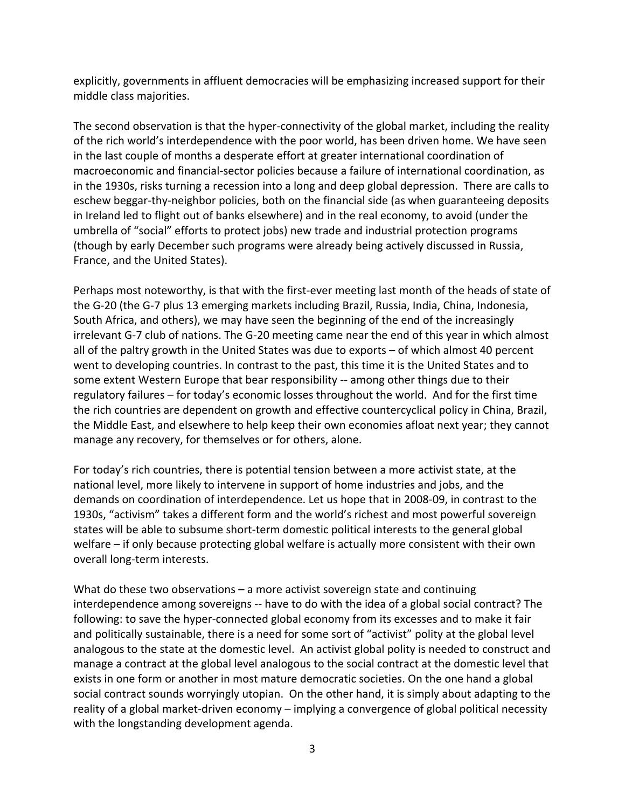explicitly, governments in affluent democracies will be emphasizing increased support for their middle class majorities.

The second observation is that the hyper-connectivity of the global market, including the reality of the rich world's interdependence with the poor world, has been driven home. We have seen in the last couple of months a desperate effort at greater international coordination of macroeconomic and financial‐sector policies because a failure of international coordination, as in the 1930s, risks turning a recession into a long and deep global depression. There are calls to eschew beggar-thy-neighbor policies, both on the financial side (as when guaranteeing deposits in Ireland led to flight out of banks elsewhere) and in the real economy, to avoid (under the umbrella of "social" efforts to protect jobs) new trade and industrial protection programs (though by early December such programs were already being actively discussed in Russia, France, and the United States).

Perhaps most noteworthy, is that with the first-ever meeting last month of the heads of state of the G‐20 (the G‐7 plus 13 emerging markets including Brazil, Russia, India, China, Indonesia, South Africa, and others), we may have seen the beginning of the end of the increasingly irrelevant G‐7 club of nations. The G‐20 meeting came near the end of this year in which almost all of the paltry growth in the United States was due to exports – of which almost 40 percent went to developing countries. In contrast to the past, this time it is the United States and to some extent Western Europe that bear responsibility -- among other things due to their regulatory failures – for today's economic losses throughout the world. And for the first time the rich countries are dependent on growth and effective countercyclical policy in China, Brazil, the Middle East, and elsewhere to help keep their own economies afloat next year; they cannot manage any recovery, for themselves or for others, alone.

For today's rich countries, there is potential tension between a more activist state, at the national level, more likely to intervene in support of home industries and jobs, and the demands on coordination of interdependence. Let us hope that in 2008‐09, in contrast to the 1930s, "activism" takes a different form and the world's richest and most powerful sovereign states will be able to subsume short‐term domestic political interests to the general global welfare – if only because protecting global welfare is actually more consistent with their own overall long‐term interests.

What do these two observations – a more activist sovereign state and continuing interdependence among sovereigns ‐‐ have to do with the idea of a global social contract? The following: to save the hyper‐connected global economy from its excesses and to make it fair and politically sustainable, there is a need for some sort of "activist" polity at the global level analogous to the state at the domestic level. An activist global polity is needed to construct and manage a contract at the global level analogous to the social contract at the domestic level that exists in one form or another in most mature democratic societies. On the one hand a global social contract sounds worryingly utopian. On the other hand, it is simply about adapting to the reality of a global market-driven economy – implying a convergence of global political necessity with the longstanding development agenda.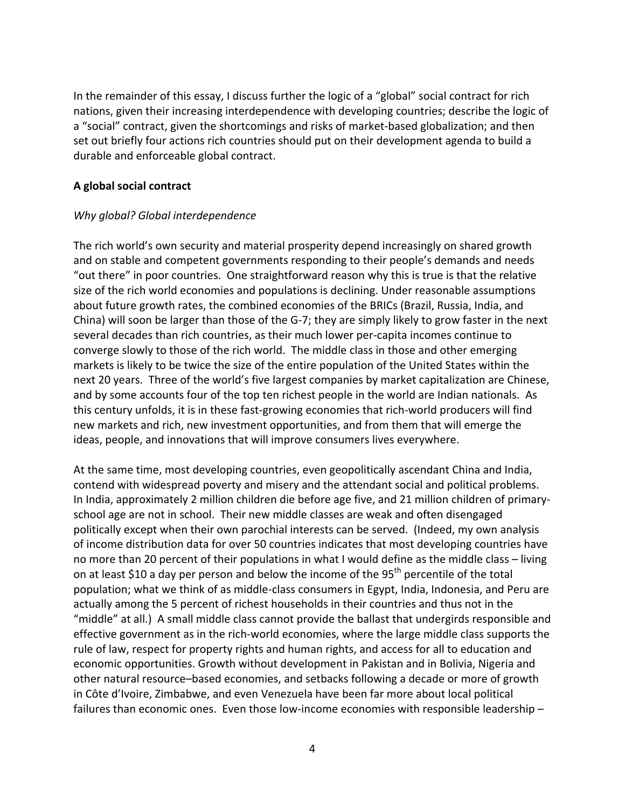In the remainder of this essay, I discuss further the logic of a "global" social contract for rich nations, given their increasing interdependence with developing countries; describe the logic of a "social" contract, given the shortcomings and risks of market‐based globalization; and then set out briefly four actions rich countries should put on their development agenda to build a durable and enforceable global contract.

## **A global social contract**

## *Why global? Global interdependence*

The rich world's own security and material prosperity depend increasingly on shared growth and on stable and competent governments responding to their people's demands and needs "out there" in poor countries. One straightforward reason why this is true is that the relative size of the rich world economies and populations is declining. Under reasonable assumptions about future growth rates, the combined economies of the BRICs (Brazil, Russia, India, and China) will soon be larger than those of the G‐7; they are simply likely to grow faster in the next several decades than rich countries, as their much lower per‐capita incomes continue to converge slowly to those of the rich world. The middle class in those and other emerging markets is likely to be twice the size of the entire population of the United States within the next 20 years. Three of the world's five largest companies by market capitalization are Chinese, and by some accounts four of the top ten richest people in the world are Indian nationals. As this century unfolds, it is in these fast‐growing economies that rich‐world producers will find new markets and rich, new investment opportunities, and from them that will emerge the ideas, people, and innovations that will improve consumers lives everywhere.

At the same time, most developing countries, even geopolitically ascendant China and India, contend with widespread poverty and misery and the attendant social and political problems. In India, approximately 2 million children die before age five, and 21 million children of primary‐ school age are not in school. Their new middle classes are weak and often disengaged politically except when their own parochial interests can be served. (Indeed, my own analysis of income distribution data for over 50 countries indicates that most developing countries have no more than 20 percent of their populations in what I would define as the middle class – living on at least \$10 a day per person and below the income of the 95<sup>th</sup> percentile of the total population; what we think of as middle‐class consumers in Egypt, India, Indonesia, and Peru are actually among the 5 percent of richest households in their countries and thus not in the "middle" at all.) A small middle class cannot provide the ballast that undergirds responsible and effective government as in the rich‐world economies, where the large middle class supports the rule of law, respect for property rights and human rights, and access for all to education and economic opportunities. Growth without development in Pakistan and in Bolivia, Nigeria and other natural resource–based economies, and setbacks following a decade or more of growth in Côte d'Ivoire, Zimbabwe, and even Venezuela have been far more about local political failures than economic ones. Even those low-income economies with responsible leadership –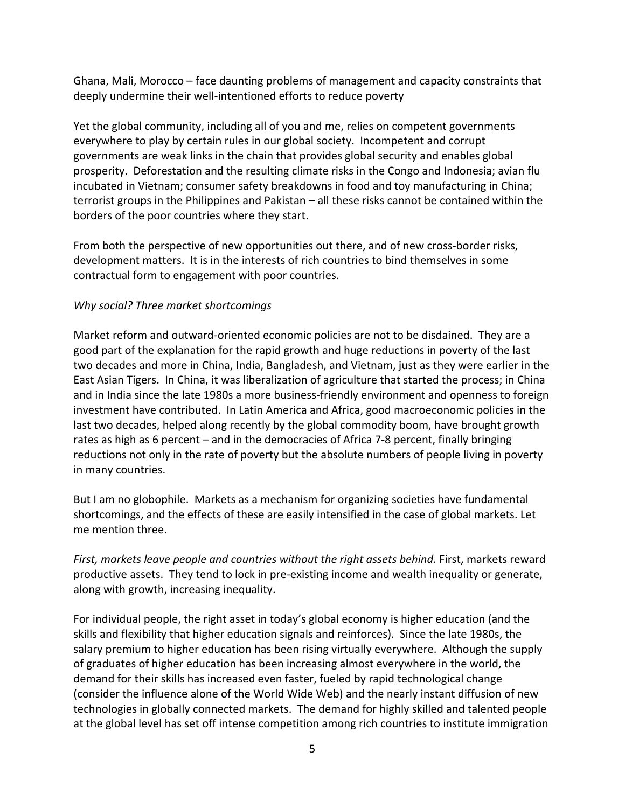Ghana, Mali, Morocco – face daunting problems of management and capacity constraints that deeply undermine their well‐intentioned efforts to reduce poverty

Yet the global community, including all of you and me, relies on competent governments everywhere to play by certain rules in our global society. Incompetent and corrupt governments are weak links in the chain that provides global security and enables global prosperity. Deforestation and the resulting climate risks in the Congo and Indonesia; avian flu incubated in Vietnam; consumer safety breakdowns in food and toy manufacturing in China; terrorist groups in the Philippines and Pakistan – all these risks cannot be contained within the borders of the poor countries where they start.

From both the perspective of new opportunities out there, and of new cross-border risks, development matters. It is in the interests of rich countries to bind themselves in some contractual form to engagement with poor countries.

# *Why social? Three market shortcomings*

Market reform and outward‐oriented economic policies are not to be disdained. They are a good part of the explanation for the rapid growth and huge reductions in poverty of the last two decades and more in China, India, Bangladesh, and Vietnam, just as they were earlier in the East Asian Tigers. In China, it was liberalization of agriculture that started the process; in China and in India since the late 1980s a more business-friendly environment and openness to foreign investment have contributed. In Latin America and Africa, good macroeconomic policies in the last two decades, helped along recently by the global commodity boom, have brought growth rates as high as 6 percent – and in the democracies of Africa 7‐8 percent, finally bringing reductions not only in the rate of poverty but the absolute numbers of people living in poverty in many countries.

But I am no globophile. Markets as a mechanism for organizing societies have fundamental shortcomings, and the effects of these are easily intensified in the case of global markets. Let me mention three.

*First, markets leave people and countries without the right assets behind.* First, markets reward productive assets. They tend to lock in pre‐existing income and wealth inequality or generate, along with growth, increasing inequality.

For individual people, the right asset in today's global economy is higher education (and the skills and flexibility that higher education signals and reinforces). Since the late 1980s, the salary premium to higher education has been rising virtually everywhere. Although the supply of graduates of higher education has been increasing almost everywhere in the world, the demand for their skills has increased even faster, fueled by rapid technological change (consider the influence alone of the World Wide Web) and the nearly instant diffusion of new technologies in globally connected markets. The demand for highly skilled and talented people at the global level has set off intense competition among rich countries to institute immigration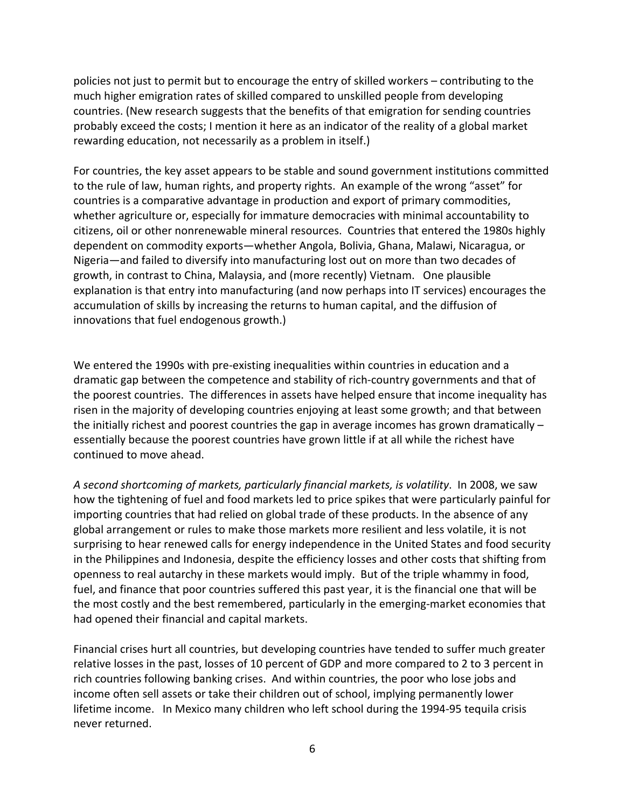policies not just to permit but to encourage the entry of skilled workers – contributing to the much higher emigration rates of skilled compared to unskilled people from developing countries. (New research suggests that the benefits of that emigration for sending countries probably exceed the costs; I mention it here as an indicator of the reality of a global market rewarding education, not necessarily as a problem in itself.)

For countries, the key asset appears to be stable and sound government institutions committed to the rule of law, human rights, and property rights. An example of the wrong "asset" for countries is a comparative advantage in production and export of primary commodities, whether agriculture or, especially for immature democracies with minimal accountability to citizens, oil or other nonrenewable mineral resources. Countries that entered the 1980s highly dependent on commodity exports—whether Angola, Bolivia, Ghana, Malawi, Nicaragua, or Nigeria—and failed to diversify into manufacturing lost out on more than two decades of growth, in contrast to China, Malaysia, and (more recently) Vietnam. One plausible explanation is that entry into manufacturing (and now perhaps into IT services) encourages the accumulation of skills by increasing the returns to human capital, and the diffusion of innovations that fuel endogenous growth.)

We entered the 1990s with pre-existing inequalities within countries in education and a dramatic gap between the competence and stability of rich‐country governments and that of the poorest countries. The differences in assets have helped ensure that income inequality has risen in the majority of developing countries enjoying at least some growth; and that between the initially richest and poorest countries the gap in average incomes has grown dramatically – essentially because the poorest countries have grown little if at all while the richest have continued to move ahead.

*A second shortcoming of markets, particularly financial markets, is volatility*. In 2008, we saw how the tightening of fuel and food markets led to price spikes that were particularly painful for importing countries that had relied on global trade of these products. In the absence of any global arrangement or rules to make those markets more resilient and less volatile, it is not surprising to hear renewed calls for energy independence in the United States and food security in the Philippines and Indonesia, despite the efficiency losses and other costs that shifting from openness to real autarchy in these markets would imply. But of the triple whammy in food, fuel, and finance that poor countries suffered this past year, it is the financial one that will be the most costly and the best remembered, particularly in the emerging-market economies that had opened their financial and capital markets.

Financial crises hurt all countries, but developing countries have tended to suffer much greater relative losses in the past, losses of 10 percent of GDP and more compared to 2 to 3 percent in rich countries following banking crises. And within countries, the poor who lose jobs and income often sell assets or take their children out of school, implying permanently lower lifetime income. In Mexico many children who left school during the 1994‐95 tequila crisis never returned.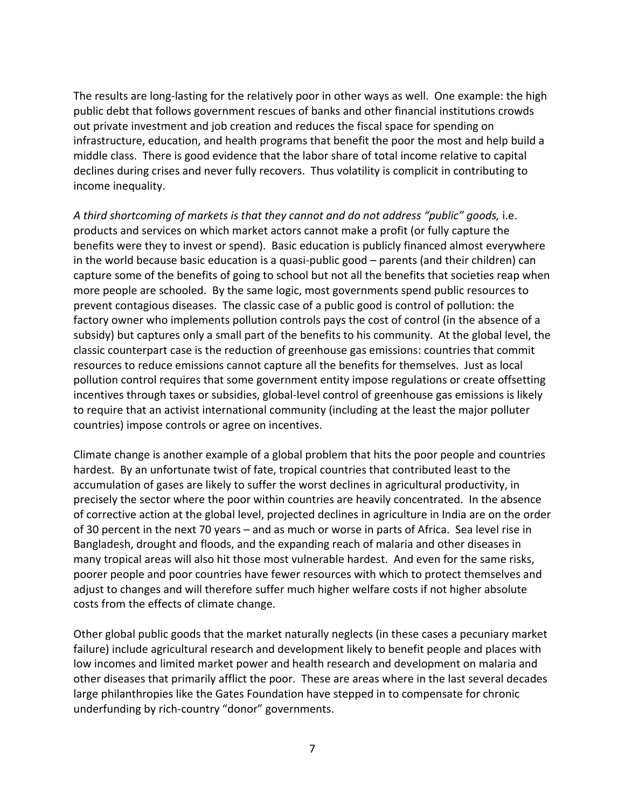The results are long-lasting for the relatively poor in other ways as well. One example: the high public debt that follows government rescues of banks and other financial institutions crowds out private investment and job creation and reduces the fiscal space for spending on infrastructure, education, and health programs that benefit the poor the most and help build a middle class. There is good evidence that the labor share of total income relative to capital declines during crises and never fully recovers. Thus volatility is complicit in contributing to income inequality.

*A third shortcoming of markets is that they cannot and do not address "public" goods,* i.e. products and services on which market actors cannot make a profit (or fully capture the benefits were they to invest or spend). Basic education is publicly financed almost everywhere in the world because basic education is a quasi-public good – parents (and their children) can capture some of the benefits of going to school but not all the benefits that societies reap when more people are schooled. By the same logic, most governments spend public resources to prevent contagious diseases. The classic case of a public good is control of pollution: the factory owner who implements pollution controls pays the cost of control (in the absence of a subsidy) but captures only a small part of the benefits to his community. At the global level, the classic counterpart case is the reduction of greenhouse gas emissions: countries that commit resources to reduce emissions cannot capture all the benefits for themselves. Just as local pollution control requires that some government entity impose regulations or create offsetting incentives through taxes or subsidies, global-level control of greenhouse gas emissions is likely to require that an activist international community (including at the least the major polluter countries) impose controls or agree on incentives.

Climate change is another example of a global problem that hits the poor people and countries hardest. By an unfortunate twist of fate, tropical countries that contributed least to the accumulation of gases are likely to suffer the worst declines in agricultural productivity, in precisely the sector where the poor within countries are heavily concentrated. In the absence of corrective action at the global level, projected declines in agriculture in India are on the order of 30 percent in the next 70 years – and as much or worse in parts of Africa. Sea level rise in Bangladesh, drought and floods, and the expanding reach of malaria and other diseases in many tropical areas will also hit those most vulnerable hardest. And even for the same risks, poorer people and poor countries have fewer resources with which to protect themselves and adjust to changes and will therefore suffer much higher welfare costs if not higher absolute costs from the effects of climate change.

Other global public goods that the market naturally neglects (in these cases a pecuniary market failure) include agricultural research and development likely to benefit people and places with low incomes and limited market power and health research and development on malaria and other diseases that primarily afflict the poor. These are areas where in the last several decades large philanthropies like the Gates Foundation have stepped in to compensate for chronic underfunding by rich‐country "donor" governments.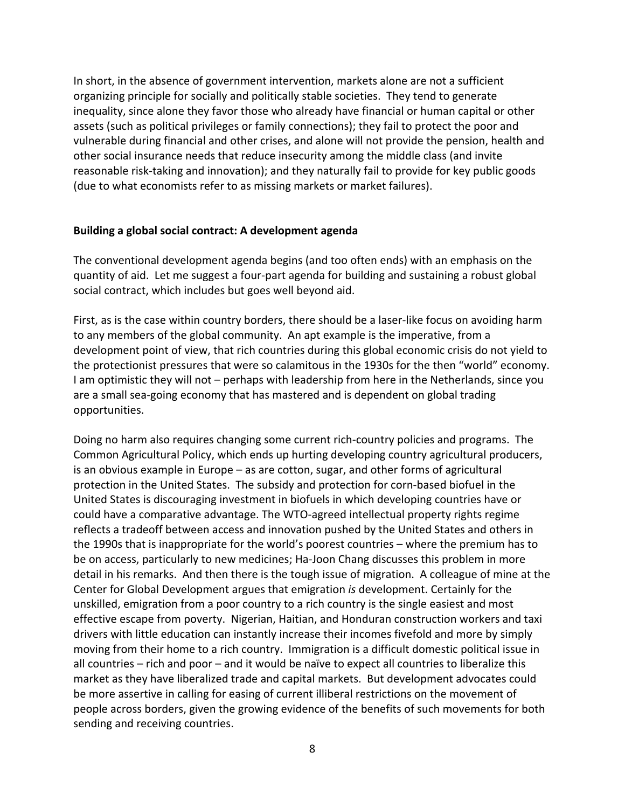In short, in the absence of government intervention, markets alone are not a sufficient organizing principle for socially and politically stable societies. They tend to generate inequality, since alone they favor those who already have financial or human capital or other assets (such as political privileges or family connections); they fail to protect the poor and vulnerable during financial and other crises, and alone will not provide the pension, health and other social insurance needs that reduce insecurity among the middle class (and invite reasonable risk‐taking and innovation); and they naturally fail to provide for key public goods (due to what economists refer to as missing markets or market failures).

### **Building a global social contract: A development agenda**

The conventional development agenda begins (and too often ends) with an emphasis on the quantity of aid. Let me suggest a four‐part agenda for building and sustaining a robust global social contract, which includes but goes well beyond aid.

First, as is the case within country borders, there should be a laser‐like focus on avoiding harm to any members of the global community. An apt example is the imperative, from a development point of view, that rich countries during this global economic crisis do not yield to the protectionist pressures that were so calamitous in the 1930s for the then "world" economy. I am optimistic they will not – perhaps with leadership from here in the Netherlands, since you are a small sea‐going economy that has mastered and is dependent on global trading opportunities.

Doing no harm also requires changing some current rich‐country policies and programs. The Common Agricultural Policy, which ends up hurting developing country agricultural producers, is an obvious example in Europe – as are cotton, sugar, and other forms of agricultural protection in the United States. The subsidy and protection for corn‐based biofuel in the United States is discouraging investment in biofuels in which developing countries have or could have a comparative advantage. The WTO‐agreed intellectual property rights regime reflects a tradeoff between access and innovation pushed by the United States and others in the 1990s that is inappropriate for the world's poorest countries – where the premium has to be on access, particularly to new medicines; Ha‐Joon Chang discusses this problem in more detail in his remarks. And then there is the tough issue of migration. A colleague of mine at the Center for Global Development argues that emigration *is* development. Certainly for the unskilled, emigration from a poor country to a rich country is the single easiest and most effective escape from poverty. Nigerian, Haitian, and Honduran construction workers and taxi drivers with little education can instantly increase their incomes fivefold and more by simply moving from their home to a rich country. Immigration is a difficult domestic political issue in all countries – rich and poor – and it would be naïve to expect all countries to liberalize this market as they have liberalized trade and capital markets. But development advocates could be more assertive in calling for easing of current illiberal restrictions on the movement of people across borders, given the growing evidence of the benefits of such movements for both sending and receiving countries.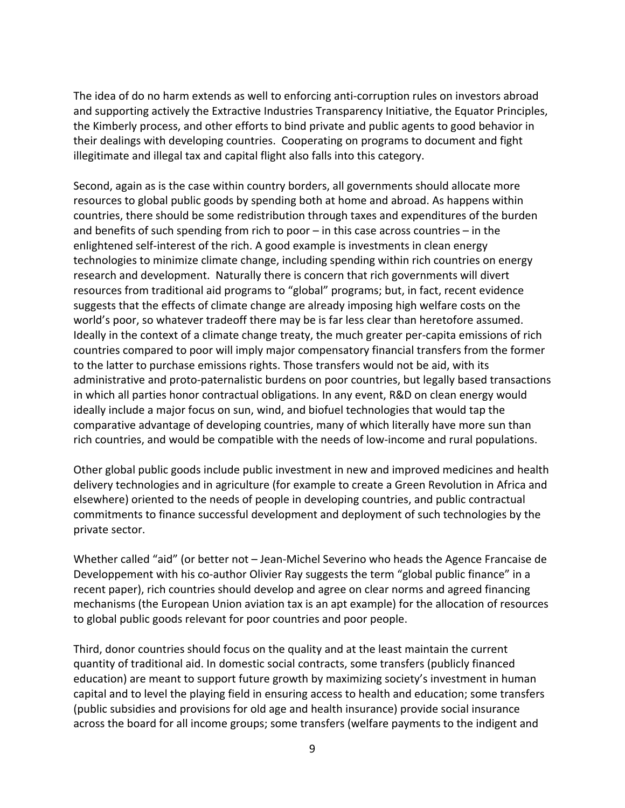The idea of do no harm extends as well to enforcing anti‐corruption rules on investors abroad and supporting actively the Extractive Industries Transparency Initiative, the Equator Principles, the Kimberly process, and other efforts to bind private and public agents to good behavior in their dealings with developing countries. Cooperating on programs to document and fight illegitimate and illegal tax and capital flight also falls into this category.

Second, again as is the case within country borders, all governments should allocate more resources to global public goods by spending both at home and abroad. As happens within countries, there should be some redistribution through taxes and expenditures of the burden and benefits of such spending from rich to poor – in this case across countries – in the enlightened self‐interest of the rich. A good example is investments in clean energy technologies to minimize climate change, including spending within rich countries on energy research and development. Naturally there is concern that rich governments will divert resources from traditional aid programs to "global" programs; but, in fact, recent evidence suggests that the effects of climate change are already imposing high welfare costs on the world's poor, so whatever tradeoff there may be is far less clear than heretofore assumed. Ideally in the context of a climate change treaty, the much greater per‐capita emissions of rich countries compared to poor will imply major compensatory financial transfers from the former to the latter to purchase emissions rights. Those transfers would not be aid, with its administrative and proto‐paternalistic burdens on poor countries, but legally based transactions in which all parties honor contractual obligations. In any event, R&D on clean energy would ideally include a major focus on sun, wind, and biofuel technologies that would tap the comparative advantage of developing countries, many of which literally have more sun than rich countries, and would be compatible with the needs of low‐income and rural populations.

Other global public goods include public investment in new and improved medicines and health delivery technologies and in agriculture (for example to create a Green Revolution in Africa and elsewhere) oriented to the needs of people in developing countries, and public contractual commitments to finance successful development and deployment of such technologies by the private sector.

Whether called "aid" (or better not – Jean-Michel Severino who heads the Agence Francaise de Developpement with his co-author Olivier Ray suggests the term "global public finance" in a recent paper), rich countries should develop and agree on clear norms and agreed financing mechanisms (the European Union aviation tax is an apt example) for the allocation of resources to global public goods relevant for poor countries and poor people.

Third, donor countries should focus on the quality and at the least maintain the current quantity of traditional aid. In domestic social contracts, some transfers (publicly financed education) are meant to support future growth by maximizing society's investment in human capital and to level the playing field in ensuring access to health and education; some transfers (public subsidies and provisions for old age and health insurance) provide social insurance across the board for all income groups; some transfers (welfare payments to the indigent and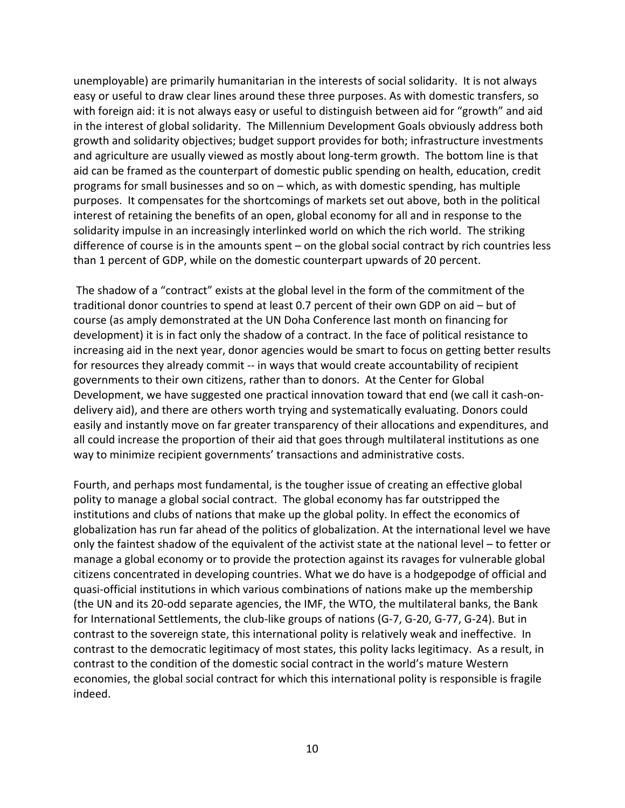unemployable) are primarily humanitarian in the interests of social solidarity. It is not always easy or useful to draw clear lines around these three purposes. As with domestic transfers, so with foreign aid: it is not always easy or useful to distinguish between aid for "growth" and aid in the interest of global solidarity. The Millennium Development Goals obviously address both growth and solidarity objectives; budget support provides for both; infrastructure investments and agriculture are usually viewed as mostly about long-term growth. The bottom line is that aid can be framed as the counterpart of domestic public spending on health, education, credit programs for small businesses and so on – which, as with domestic spending, has multiple purposes. It compensates for the shortcomings of markets set out above, both in the political interest of retaining the benefits of an open, global economy for all and in response to the solidarity impulse in an increasingly interlinked world on which the rich world. The striking difference of course is in the amounts spent – on the global social contract by rich countries less than 1 percent of GDP, while on the domestic counterpart upwards of 20 percent.

The shadow of a "contract" exists at the global level in the form of the commitment of the traditional donor countries to spend at least 0.7 percent of their own GDP on aid – but of course (as amply demonstrated at the UN Doha Conference last month on financing for development) it is in fact only the shadow of a contract. In the face of political resistance to increasing aid in the next year, donor agencies would be smart to focus on getting better results for resources they already commit -- in ways that would create accountability of recipient governments to their own citizens, rather than to donors. At the Center for Global Development, we have suggested one practical innovation toward that end (we call it cash-ondelivery aid), and there are others worth trying and systematically evaluating. Donors could easily and instantly move on far greater transparency of their allocations and expenditures, and all could increase the proportion of their aid that goes through multilateral institutions as one way to minimize recipient governments' transactions and administrative costs.

Fourth, and perhaps most fundamental, is the tougher issue of creating an effective global polity to manage a global social contract. The global economy has far outstripped the institutions and clubs of nations that make up the global polity. In effect the economics of globalization has run far ahead of the politics of globalization. At the international level we have only the faintest shadow of the equivalent of the activist state at the national level – to fetter or manage a global economy or to provide the protection against its ravages for vulnerable global citizens concentrated in developing countries. What we do have is a hodgepodge of official and quasi‐official institutions in which various combinations of nations make up the membership (the UN and its 20‐odd separate agencies, the IMF, the WTO, the multilateral banks, the Bank for International Settlements, the club-like groups of nations (G-7, G-20, G-77, G-24). But in contrast to the sovereign state, this international polity is relatively weak and ineffective. In contrast to the democratic legitimacy of most states, this polity lacks legitimacy. As a result, in contrast to the condition of the domestic social contract in the world's mature Western economies, the global social contract for which this international polity is responsible is fragile indeed.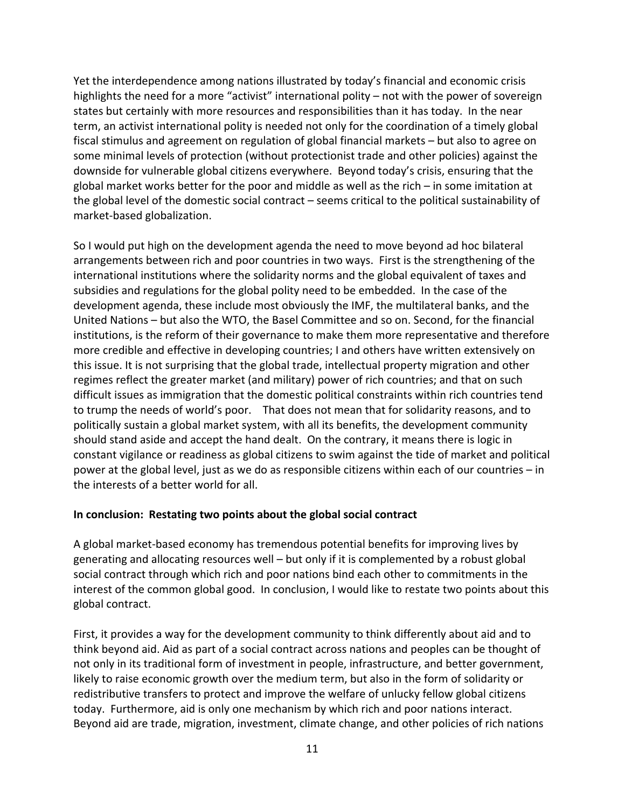Yet the interdependence among nations illustrated by today's financial and economic crisis highlights the need for a more "activist" international polity – not with the power of sovereign states but certainly with more resources and responsibilities than it has today. In the near term, an activist international polity is needed not only for the coordination of a timely global fiscal stimulus and agreement on regulation of global financial markets – but also to agree on some minimal levels of protection (without protectionist trade and other policies) against the downside for vulnerable global citizens everywhere. Beyond today's crisis, ensuring that the global market works better for the poor and middle as well as the rich – in some imitation at the global level of the domestic social contract – seems critical to the political sustainability of market‐based globalization.

So I would put high on the development agenda the need to move beyond ad hoc bilateral arrangements between rich and poor countries in two ways. First is the strengthening of the international institutions where the solidarity norms and the global equivalent of taxes and subsidies and regulations for the global polity need to be embedded. In the case of the development agenda, these include most obviously the IMF, the multilateral banks, and the United Nations – but also the WTO, the Basel Committee and so on. Second, for the financial institutions, is the reform of their governance to make them more representative and therefore more credible and effective in developing countries; I and others have written extensively on this issue. It is not surprising that the global trade, intellectual property migration and other regimes reflect the greater market (and military) power of rich countries; and that on such difficult issues as immigration that the domestic political constraints within rich countries tend to trump the needs of world's poor. That does not mean that for solidarity reasons, and to politically sustain a global market system, with all its benefits, the development community should stand aside and accept the hand dealt. On the contrary, it means there is logic in constant vigilance or readiness as global citizens to swim against the tide of market and political power at the global level, just as we do as responsible citizens within each of our countries – in the interests of a better world for all.

### **In conclusion: Restating two points about the global social contract**

A global market‐based economy has tremendous potential benefits for improving lives by generating and allocating resources well – but only if it is complemented by a robust global social contract through which rich and poor nations bind each other to commitments in the interest of the common global good. In conclusion, I would like to restate two points about this global contract.

First, it provides a way for the development community to think differently about aid and to think beyond aid. Aid as part of a social contract across nations and peoples can be thought of not only in its traditional form of investment in people, infrastructure, and better government, likely to raise economic growth over the medium term, but also in the form of solidarity or redistributive transfers to protect and improve the welfare of unlucky fellow global citizens today. Furthermore, aid is only one mechanism by which rich and poor nations interact. Beyond aid are trade, migration, investment, climate change, and other policies of rich nations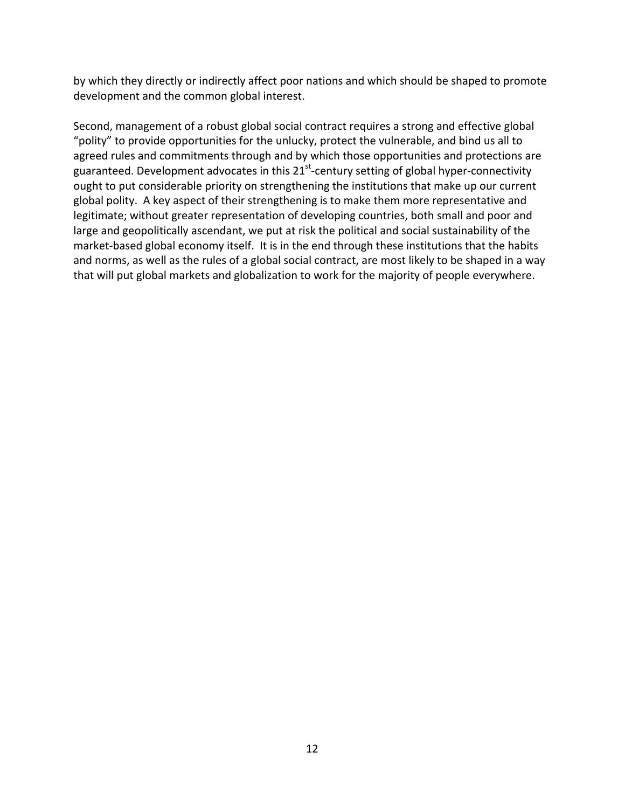by which they directly or indirectly affect poor nations and which should be shaped to promote development and the common global interest.

Second, management of a robust global social contract requires a strong and effective global "polity" to provide opportunities for the unlucky, protect the vulnerable, and bind us all to agreed rules and commitments through and by which those opportunities and protections are guaranteed. Development advocates in this  $21<sup>st</sup>$ -century setting of global hyper-connectivity ought to put considerable priority on strengthening the institutions that make up our current global polity. A key aspect of their strengthening is to make them more representative and legitimate; without greater representation of developing countries, both small and poor and large and geopolitically ascendant, we put at risk the political and social sustainability of the market-based global economy itself. It is in the end through these institutions that the habits and norms, as well as the rules of a global social contract, are most likely to be shaped in a way that will put global markets and globalization to work for the majority of people everywhere.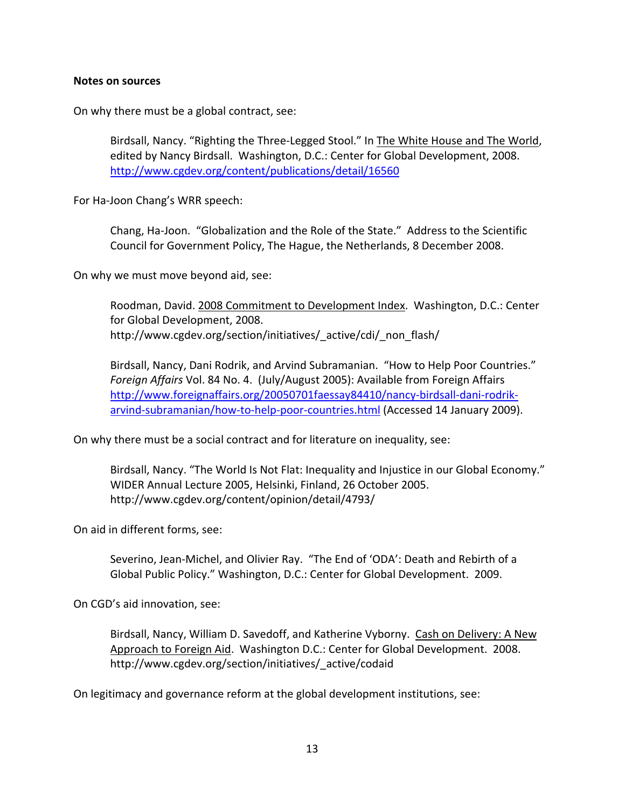#### **Notes on sources**

On why there must be a global contract, see:

Birdsall, Nancy. "Righting the Three‐Legged Stool." In The White House and The World, edited by Nancy Birdsall. Washington, D.C.: Center for Global Development, 2008. http://www.cgdev.org/content/publications/detail/16560

For Ha‐Joon Chang's WRR speech:

Chang, Ha‐Joon. "Globalization and the Role of the State." Address to the Scientific Council for Government Policy, The Hague, the Netherlands, 8 December 2008.

On why we must move beyond aid, see:

Roodman, David. 2008 Commitment to Development Index. Washington, D.C.: Center for Global Development, 2008. http://www.cgdev.org/section/initiatives/ active/cdi/ non flash/

Birdsall, Nancy, Dani Rodrik, and Arvind Subramanian. "How to Help Poor Countries." *Foreign Affairs* Vol. 84 No. 4. (July/August 2005): Available from Foreign Affairs http://www.foreignaffairs.org/20050701faessay84410/nancy‐birdsall‐dani‐rodrik‐ arvind-subramanian/how-to-help-poor-countries.html (Accessed 14 January 2009).

On why there must be a social contract and for literature on inequality, see:

Birdsall, Nancy. "The World Is Not Flat: Inequality and Injustice in our Global Economy." WIDER Annual Lecture 2005, Helsinki, Finland, 26 October 2005. http://www.cgdev.org/content/opinion/detail/4793/

On aid in different forms, see:

Severino, Jean‐Michel, and Olivier Ray. "The End of 'ODA': Death and Rebirth of a Global Public Policy." Washington, D.C.: Center for Global Development. 2009.

On CGD's aid innovation, see:

Birdsall, Nancy, William D. Savedoff, and Katherine Vyborny. Cash on Delivery: A New Approach to Foreign Aid. Washington D.C.: Center for Global Development. 2008. http://www.cgdev.org/section/initiatives/\_active/codaid

On legitimacy and governance reform at the global development institutions, see: